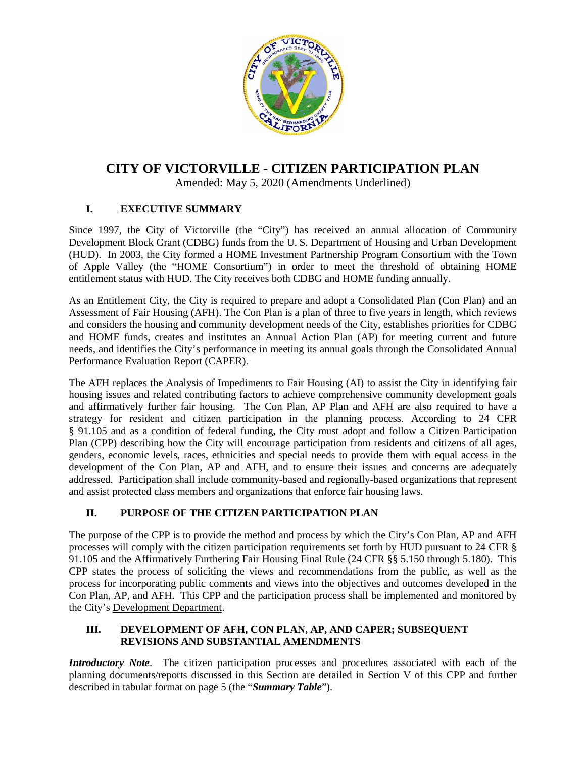

# **CITY OF VICTORVILLE - CITIZEN PARTICIPATION PLAN**

Amended: May 5, 2020 (Amendments Underlined)

## **I. EXECUTIVE SUMMARY**

Since 1997, the City of Victorville (the "City") has received an annual allocation of Community Development Block Grant (CDBG) funds from the U. S. Department of Housing and Urban Development (HUD). In 2003, the City formed a HOME Investment Partnership Program Consortium with the Town of Apple Valley (the "HOME Consortium") in order to meet the threshold of obtaining HOME entitlement status with HUD. The City receives both CDBG and HOME funding annually.

As an Entitlement City, the City is required to prepare and adopt a Consolidated Plan (Con Plan) and an Assessment of Fair Housing (AFH). The Con Plan is a plan of three to five years in length, which reviews and considers the housing and community development needs of the City, establishes priorities for CDBG and HOME funds, creates and institutes an Annual Action Plan (AP) for meeting current and future needs, and identifies the City's performance in meeting its annual goals through the Consolidated Annual Performance Evaluation Report (CAPER).

The AFH replaces the Analysis of Impediments to Fair Housing (AI) to assist the City in identifying fair housing issues and related contributing factors to achieve comprehensive community development goals and affirmatively further fair housing. The Con Plan, AP Plan and AFH are also required to have a strategy for resident and citizen participation in the planning process. According to 24 CFR § 91.105 and as a condition of federal funding, the City must adopt and follow a Citizen Participation Plan (CPP) describing how the City will encourage participation from residents and citizens of all ages, genders, economic levels, races, ethnicities and special needs to provide them with equal access in the development of the Con Plan, AP and AFH, and to ensure their issues and concerns are adequately addressed. Participation shall include community-based and regionally-based organizations that represent and assist protected class members and organizations that enforce fair housing laws.

## **II. PURPOSE OF THE CITIZEN PARTICIPATION PLAN**

The purpose of the CPP is to provide the method and process by which the City's Con Plan, AP and AFH processes will comply with the citizen participation requirements set forth by HUD pursuant to 24 CFR § 91.105 and the Affirmatively Furthering Fair Housing Final Rule (24 CFR §§ 5.150 through 5.180). This CPP states the process of soliciting the views and recommendations from the public, as well as the process for incorporating public comments and views into the objectives and outcomes developed in the Con Plan, AP, and AFH. This CPP and the participation process shall be implemented and monitored by the City's Development Department.

### **III. DEVELOPMENT OF AFH, CON PLAN, AP, AND CAPER; SUBSEQUENT REVISIONS AND SUBSTANTIAL AMENDMENTS**

*Introductory Note*. The citizen participation processes and procedures associated with each of the planning documents/reports discussed in this Section are detailed in Section V of this CPP and further described in tabular format on page 5 (the "*Summary Table*").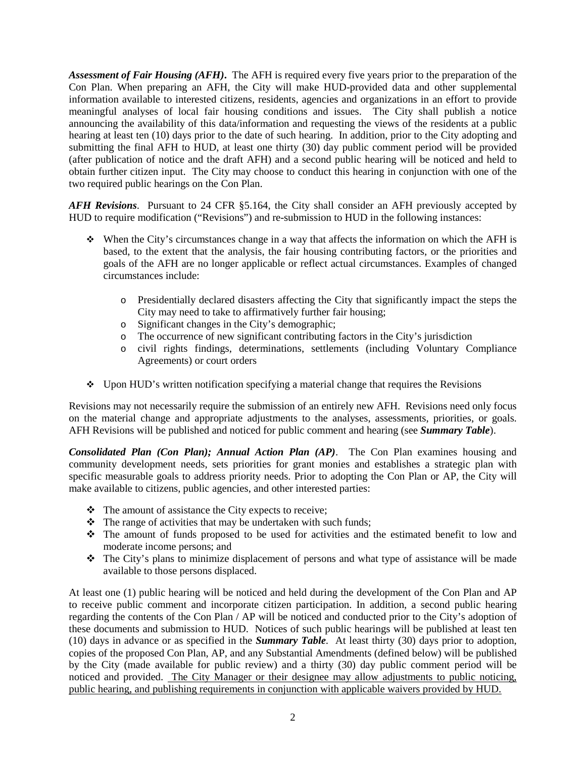*Assessment of Fair Housing (AFH)***.** The AFH is required every five years prior to the preparation of the Con Plan. When preparing an AFH, the City will make HUD-provided data and other supplemental information available to interested citizens, residents, agencies and organizations in an effort to provide meaningful analyses of local fair housing conditions and issues. The City shall publish a notice announcing the availability of this data/information and requesting the views of the residents at a public hearing at least ten (10) days prior to the date of such hearing. In addition, prior to the City adopting and submitting the final AFH to HUD, at least one thirty (30) day public comment period will be provided (after publication of notice and the draft AFH) and a second public hearing will be noticed and held to obtain further citizen input. The City may choose to conduct this hearing in conjunction with one of the two required public hearings on the Con Plan.

*AFH Revisions*. Pursuant to 24 CFR §5.164, the City shall consider an AFH previously accepted by HUD to require modification ("Revisions") and re-submission to HUD in the following instances:

- When the City's circumstances change in a way that affects the information on which the AFH is based, to the extent that the analysis, the fair housing contributing factors, or the priorities and goals of the AFH are no longer applicable or reflect actual circumstances. Examples of changed circumstances include:
	- o Presidentially declared disasters affecting the City that significantly impact the steps the City may need to take to affirmatively further fair housing;
	- o Significant changes in the City's demographic;
	- o The occurrence of new significant contributing factors in the City's jurisdiction
	- o civil rights findings, determinations, settlements (including Voluntary Compliance Agreements) or court orders
- $\bullet$  Upon HUD's written notification specifying a material change that requires the Revisions

Revisions may not necessarily require the submission of an entirely new AFH. Revisions need only focus on the material change and appropriate adjustments to the analyses, assessments, priorities, or goals. AFH Revisions will be published and noticed for public comment and hearing (see *Summary Table*).

*Consolidated Plan (Con Plan); Annual Action Plan (AP)*. The Con Plan examines housing and community development needs, sets priorities for grant monies and establishes a strategic plan with specific measurable goals to address priority needs. Prior to adopting the Con Plan or AP, the City will make available to citizens, public agencies, and other interested parties:

- $\triangle$  The amount of assistance the City expects to receive;
- $\triangle$  The range of activities that may be undertaken with such funds;
- The amount of funds proposed to be used for activities and the estimated benefit to low and moderate income persons; and
- The City's plans to minimize displacement of persons and what type of assistance will be made available to those persons displaced.

At least one (1) public hearing will be noticed and held during the development of the Con Plan and AP to receive public comment and incorporate citizen participation. In addition, a second public hearing regarding the contents of the Con Plan / AP will be noticed and conducted prior to the City's adoption of these documents and submission to HUD. Notices of such public hearings will be published at least ten (10) days in advance or as specified in the *Summary Table*. At least thirty (30) days prior to adoption, copies of the proposed Con Plan, AP, and any Substantial Amendments (defined below) will be published by the City (made available for public review) and a thirty (30) day public comment period will be noticed and provided. The City Manager or their designee may allow adjustments to public noticing, public hearing, and publishing requirements in conjunction with applicable waivers provided by HUD.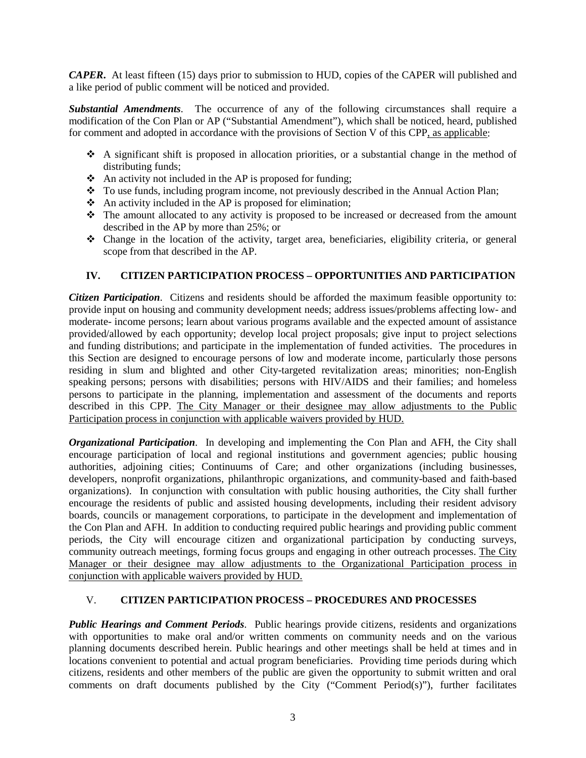*CAPER***.** At least fifteen (15) days prior to submission to HUD, copies of the CAPER will published and a like period of public comment will be noticed and provided.

*Substantial Amendments*. The occurrence of any of the following circumstances shall require a modification of the Con Plan or AP ("Substantial Amendment"), which shall be noticed, heard, published for comment and adopted in accordance with the provisions of Section V of this CPP, as applicable:

- $\triangle$  A significant shift is proposed in allocation priorities, or a substantial change in the method of distributing funds;
- $\triangle$  An activity not included in the AP is proposed for funding;
- \* To use funds, including program income, not previously described in the Annual Action Plan;
- $\triangle$  An activity included in the AP is proposed for elimination;
- $\hat{\cdot}$  The amount allocated to any activity is proposed to be increased or decreased from the amount described in the AP by more than 25%; or
- Change in the location of the activity, target area, beneficiaries, eligibility criteria, or general scope from that described in the AP.

### **IV. CITIZEN PARTICIPATION PROCESS – OPPORTUNITIES AND PARTICIPATION**

*Citizen Participation*. Citizens and residents should be afforded the maximum feasible opportunity to: provide input on housing and community development needs; address issues/problems affecting low- and moderate- income persons; learn about various programs available and the expected amount of assistance provided/allowed by each opportunity; develop local project proposals; give input to project selections and funding distributions; and participate in the implementation of funded activities. The procedures in this Section are designed to encourage persons of low and moderate income, particularly those persons residing in slum and blighted and other City-targeted revitalization areas; minorities; non-English speaking persons; persons with disabilities; persons with HIV/AIDS and their families; and homeless persons to participate in the planning, implementation and assessment of the documents and reports described in this CPP. The City Manager or their designee may allow adjustments to the Public Participation process in conjunction with applicable waivers provided by HUD.

*Organizational Participation*. In developing and implementing the Con Plan and AFH, the City shall encourage participation of local and regional institutions and government agencies; public housing authorities, adjoining cities; Continuums of Care; and other organizations (including businesses, developers, nonprofit organizations, philanthropic organizations, and community-based and faith-based organizations). In conjunction with consultation with public housing authorities, the City shall further encourage the residents of public and assisted housing developments, including their resident advisory boards, councils or management corporations, to participate in the development and implementation of the Con Plan and AFH. In addition to conducting required public hearings and providing public comment periods, the City will encourage citizen and organizational participation by conducting surveys, community outreach meetings, forming focus groups and engaging in other outreach processes. The City Manager or their designee may allow adjustments to the Organizational Participation process in conjunction with applicable waivers provided by HUD.

### V. **CITIZEN PARTICIPATION PROCESS – PROCEDURES AND PROCESSES**

*Public Hearings and Comment Periods*. Public hearings provide citizens, residents and organizations with opportunities to make oral and/or written comments on community needs and on the various planning documents described herein. Public hearings and other meetings shall be held at times and in locations convenient to potential and actual program beneficiaries. Providing time periods during which citizens, residents and other members of the public are given the opportunity to submit written and oral comments on draft documents published by the City ("Comment Period(s)"), further facilitates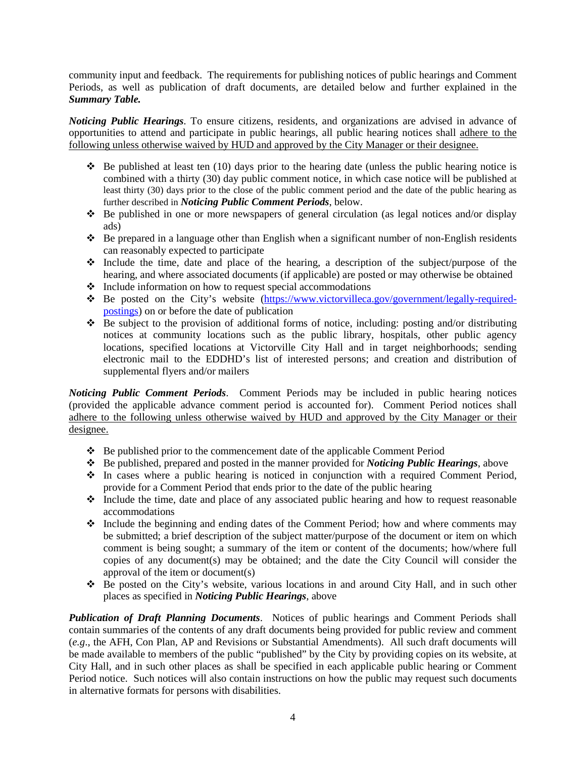community input and feedback. The requirements for publishing notices of public hearings and Comment Periods, as well as publication of draft documents, are detailed below and further explained in the *Summary Table.*

*Noticing Public Hearings*. To ensure citizens, residents, and organizations are advised in advance of opportunities to attend and participate in public hearings, all public hearing notices shall adhere to the following unless otherwise waived by HUD and approved by the City Manager or their designee.

- $\div$  Be published at least ten (10) days prior to the hearing date (unless the public hearing notice is combined with a thirty (30) day public comment notice, in which case notice will be published at least thirty (30) days prior to the close of the public comment period and the date of the public hearing as further described in *Noticing Public Comment Periods*, below.
- $\div$  Be published in one or more newspapers of general circulation (as legal notices and/or display ads)
- $\triangle$  Be prepared in a language other than English when a significant number of non-English residents can reasonably expected to participate
- $\cdot$  Include the time, date and place of the hearing, a description of the subject/purpose of the hearing, and where associated documents (if applicable) are posted or may otherwise be obtained
- $\cdot \cdot$  Include information on how to request special accommodations
- \* Be posted on the City's website [\(https://www.victorvilleca.gov/government/legally-required](https://www.victorvilleca.gov/government/legally-required-postings)[postings\)](https://www.victorvilleca.gov/government/legally-required-postings) on or before the date of publication
- $\bullet$  Be subject to the provision of additional forms of notice, including: posting and/or distributing notices at community locations such as the public library, hospitals, other public agency locations, specified locations at Victorville City Hall and in target neighborhoods; sending electronic mail to the EDDHD's list of interested persons; and creation and distribution of supplemental flyers and/or mailers

*Noticing Public Comment Periods*. Comment Periods may be included in public hearing notices (provided the applicable advance comment period is accounted for). Comment Period notices shall adhere to the following unless otherwise waived by HUD and approved by the City Manager or their designee.

- $\div$  Be published prior to the commencement date of the applicable Comment Period
- Be published, prepared and posted in the manner provided for *Noticing Public Hearings*, above
- $\cdot \cdot$  In cases where a public hearing is noticed in conjunction with a required Comment Period, provide for a Comment Period that ends prior to the date of the public hearing
- $\cdot$  Include the time, date and place of any associated public hearing and how to request reasonable accommodations
- $\cdot$  Include the beginning and ending dates of the Comment Period; how and where comments may be submitted; a brief description of the subject matter/purpose of the document or item on which comment is being sought; a summary of the item or content of the documents; how/where full copies of any document(s) may be obtained; and the date the City Council will consider the approval of the item or document(s)
- Be posted on the City's website, various locations in and around City Hall, and in such other places as specified in *Noticing Public Hearings*, above

*Publication of Draft Planning Documents*. Notices of public hearings and Comment Periods shall contain summaries of the contents of any draft documents being provided for public review and comment (*e.g*., the AFH, Con Plan, AP and Revisions or Substantial Amendments). All such draft documents will be made available to members of the public "published" by the City by providing copies on its website, at City Hall, and in such other places as shall be specified in each applicable public hearing or Comment Period notice. Such notices will also contain instructions on how the public may request such documents in alternative formats for persons with disabilities.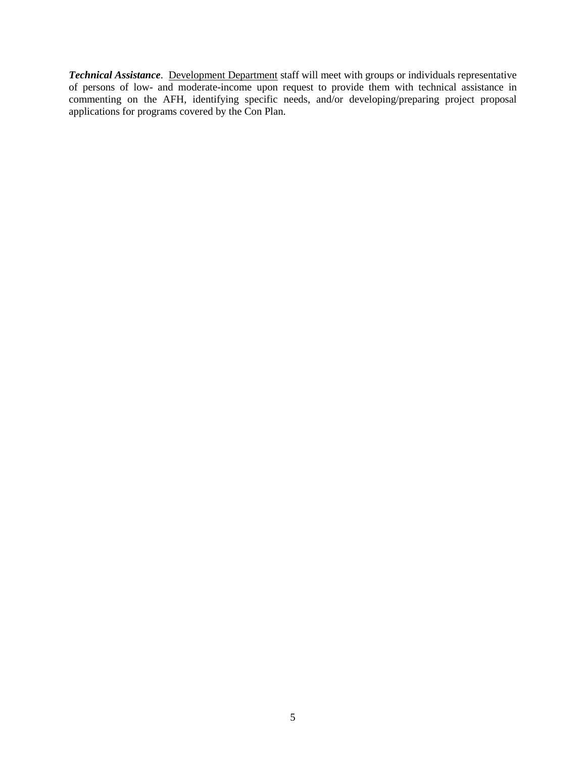*Technical Assistance*. Development Department staff will meet with groups or individuals representative of persons of low- and moderate-income upon request to provide them with technical assistance in commenting on the AFH, identifying specific needs, and/or developing/preparing project proposal applications for programs covered by the Con Plan.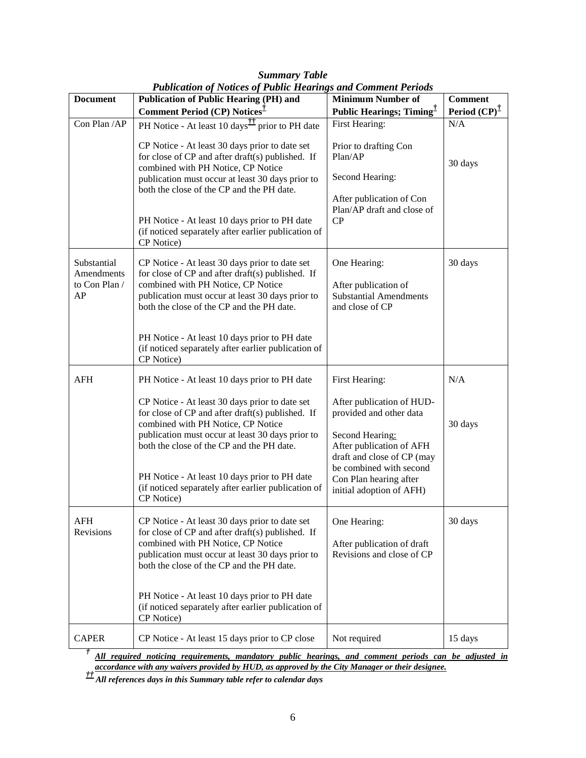| <b>Document</b>                                  | Publication of Notices of Public Hearings and Comment Perioas<br><b>Publication of Public Hearing (PH) and</b>                                                                                                                                                                                                                                                  | <b>Minimum Number of</b>                                                                                                                                                                                           | <b>Comment</b>          |
|--------------------------------------------------|-----------------------------------------------------------------------------------------------------------------------------------------------------------------------------------------------------------------------------------------------------------------------------------------------------------------------------------------------------------------|--------------------------------------------------------------------------------------------------------------------------------------------------------------------------------------------------------------------|-------------------------|
|                                                  | Comment Period (CP) Notices <sup>T</sup>                                                                                                                                                                                                                                                                                                                        | <b>Public Hearings; Timing</b> <sup>T</sup>                                                                                                                                                                        | Period $(CP)^{\dagger}$ |
| Con Plan / AP                                    | PH Notice - At least 10 days <sup><sup>11</sup> prior to PH date</sup>                                                                                                                                                                                                                                                                                          | First Hearing:                                                                                                                                                                                                     | N/A                     |
|                                                  | CP Notice - At least 30 days prior to date set<br>for close of CP and after draft(s) published. If<br>combined with PH Notice, CP Notice<br>publication must occur at least 30 days prior to<br>both the close of the CP and the PH date.<br>PH Notice - At least 10 days prior to PH date                                                                      | Prior to drafting Con<br>Plan/AP<br>Second Hearing:<br>After publication of Con<br>Plan/AP draft and close of<br>CP                                                                                                | 30 days                 |
|                                                  | (if noticed separately after earlier publication of<br>CP Notice)                                                                                                                                                                                                                                                                                               |                                                                                                                                                                                                                    |                         |
| Substantial<br>Amendments<br>to Con Plan /<br>AP | CP Notice - At least 30 days prior to date set<br>for close of CP and after draft(s) published. If<br>combined with PH Notice, CP Notice<br>publication must occur at least 30 days prior to<br>both the close of the CP and the PH date.                                                                                                                       | One Hearing:<br>After publication of<br><b>Substantial Amendments</b><br>and close of CP                                                                                                                           | 30 days                 |
|                                                  | PH Notice - At least 10 days prior to PH date<br>(if noticed separately after earlier publication of<br>CP Notice)                                                                                                                                                                                                                                              |                                                                                                                                                                                                                    |                         |
| <b>AFH</b>                                       | PH Notice - At least 10 days prior to PH date                                                                                                                                                                                                                                                                                                                   | First Hearing:                                                                                                                                                                                                     | N/A                     |
|                                                  | CP Notice - At least 30 days prior to date set<br>for close of CP and after draft(s) published. If<br>combined with PH Notice, CP Notice<br>publication must occur at least 30 days prior to<br>both the close of the CP and the PH date.<br>PH Notice - At least 10 days prior to PH date<br>(if noticed separately after earlier publication of<br>CP Notice) | After publication of HUD-<br>provided and other data<br>Second Hearing:<br>After publication of AFH<br>draft and close of CP (may<br>be combined with second<br>Con Plan hearing after<br>initial adoption of AFH) | 30 days                 |
| <b>AFH</b><br>Revisions                          | CP Notice - At least 30 days prior to date set<br>for close of CP and after draft(s) published. If<br>combined with PH Notice, CP Notice<br>publication must occur at least 30 days prior to<br>both the close of the CP and the PH date.<br>PH Notice - At least 10 days prior to PH date<br>(if noticed separately after earlier publication of<br>CP Notice) | One Hearing:<br>After publication of draft<br>Revisions and close of CP                                                                                                                                            | 30 days                 |
| <b>CAPER</b>                                     | CP Notice - At least 15 days prior to CP close                                                                                                                                                                                                                                                                                                                  | Not required                                                                                                                                                                                                       | 15 days                 |

*Summary Table Publication of Notices of Public Hearings and Comment Periods*

*† All required noticing requirements, mandatory public hearings, and comment periods can be adjusted in accordance with any waivers provided by HUD, as approved by the City Manager or their designee.*

*†† All references days in this Summary table refer to calendar days*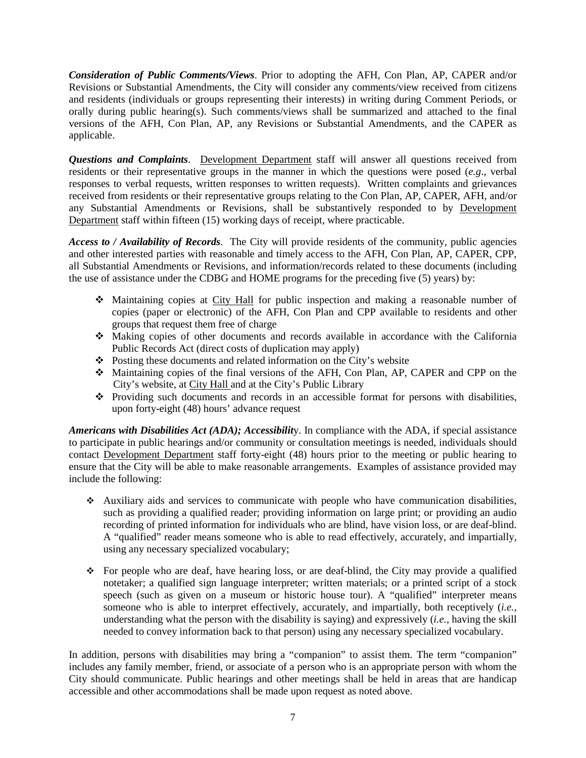*Consideration of Public Comments/Views*. Prior to adopting the AFH, Con Plan, AP, CAPER and/or Revisions or Substantial Amendments, the City will consider any comments/view received from citizens and residents (individuals or groups representing their interests) in writing during Comment Periods, or orally during public hearing(s). Such comments/views shall be summarized and attached to the final versions of the AFH, Con Plan, AP, any Revisions or Substantial Amendments, and the CAPER as applicable.

*Questions and Complaints*. Development Department staff will answer all questions received from residents or their representative groups in the manner in which the questions were posed (*e.g*., verbal responses to verbal requests, written responses to written requests). Written complaints and grievances received from residents or their representative groups relating to the Con Plan, AP, CAPER, AFH, and/or any Substantial Amendments or Revisions, shall be substantively responded to by Development Department staff within fifteen (15) working days of receipt, where practicable.

*Access to / Availability of Records*. The City will provide residents of the community, public agencies and other interested parties with reasonable and timely access to the AFH, Con Plan, AP, CAPER, CPP, all Substantial Amendments or Revisions, and information/records related to these documents (including the use of assistance under the CDBG and HOME programs for the preceding five (5) years) by:

- Maintaining copies at City Hall for public inspection and making a reasonable number of copies (paper or electronic) of the AFH, Con Plan and CPP available to residents and other groups that request them free of charge
- Making copies of other documents and records available in accordance with the California Public Records Act (direct costs of duplication may apply)
- $\triangle$  Posting these documents and related information on the City's website
- Maintaining copies of the final versions of the AFH, Con Plan, AP, CAPER and CPP on the City's website, at City Hall and at the City's Public Library
- $\div$  Providing such documents and records in an accessible format for persons with disabilities, upon forty-eight (48) hours' advance request

*Americans with Disabilities Act (ADA); Accessibilit*y. In compliance with the ADA, if special assistance to participate in public hearings and/or community or consultation meetings is needed, individuals should contact Development Department staff forty-eight (48) hours prior to the meeting or public hearing to ensure that the City will be able to make reasonable arrangements. Examples of assistance provided may include the following:

- Auxiliary aids and services to communicate with people who have communication disabilities, such as providing a qualified reader; providing information on large print; or providing an audio recording of printed information for individuals who are blind, have vision loss, or are deaf-blind. A "qualified" reader means someone who is able to read effectively, accurately, and impartially, using any necessary specialized vocabulary;
- $\div$  For people who are deaf, have hearing loss, or are deaf-blind, the City may provide a qualified notetaker; a qualified sign language interpreter; written materials; or a printed script of a stock speech (such as given on a museum or historic house tour). A "qualified" interpreter means someone who is able to interpret effectively, accurately, and impartially, both receptively (*i.e.,* understanding what the person with the disability is saying) and expressively (*i.e.*, having the skill needed to convey information back to that person) using any necessary specialized vocabulary.

In addition, persons with disabilities may bring a "companion" to assist them. The term "companion" includes any family member, friend, or associate of a person who is an appropriate person with whom the City should communicate. Public hearings and other meetings shall be held in areas that are handicap accessible and other accommodations shall be made upon request as noted above.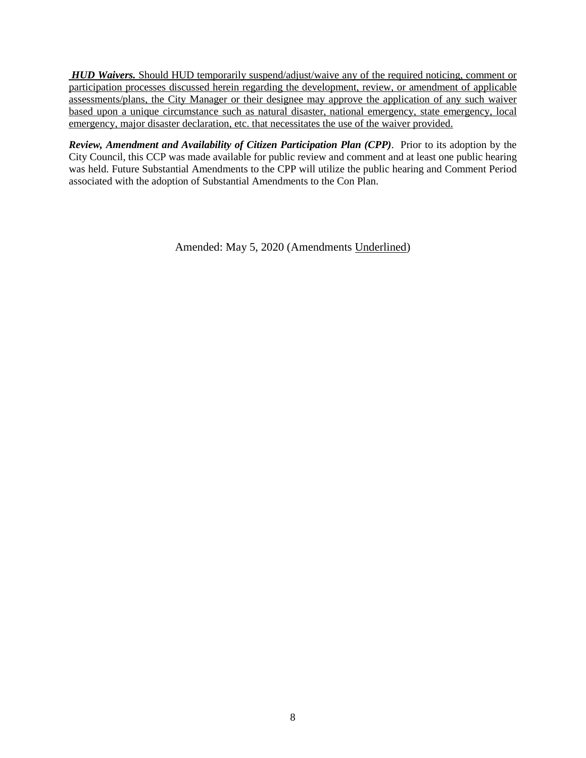*HUD Waivers.* Should HUD temporarily suspend/adjust/waive any of the required noticing, comment or participation processes discussed herein regarding the development, review, or amendment of applicable assessments/plans, the City Manager or their designee may approve the application of any such waiver based upon a unique circumstance such as natural disaster, national emergency, state emergency, local emergency, major disaster declaration, etc. that necessitates the use of the waiver provided.

*Review, Amendment and Availability of Citizen Participation Plan (CPP)*. Prior to its adoption by the City Council, this CCP was made available for public review and comment and at least one public hearing was held. Future Substantial Amendments to the CPP will utilize the public hearing and Comment Period associated with the adoption of Substantial Amendments to the Con Plan.

Amended: May 5, 2020 (Amendments Underlined)